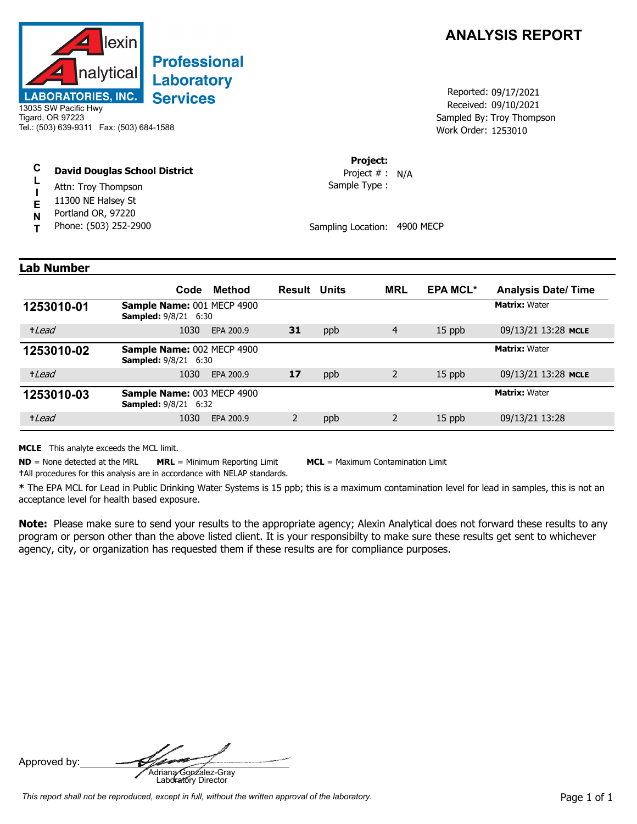

## **Professional** Laboratory **Services**

13035 SW Pacific Hwy Tigard, OR 97223 Tel.: (503) 639-9311 Fax: (503) 684-1588

## **C David Douglas School District**

- **L** Attn: Troy Thompson
- **I E** 11300 NE Halsey St
- **N** Portland OR, 97220
- **T** Phone: (503) 252-2900

## **ANALYSIS REPORT**

Received: 09/10/2021 Work Order: 1253010 Reported: 09/17/2021 Sampled By: Troy Thompson

**Project:**

Sample Type : Project # : N/A

Sampling Location: 4900 MECP

## **Lab Number**

|            | Method<br>Code                                                   | <b>Result Units</b> |     | <b>MRL</b> | <b>EPA MCL*</b> | <b>Analysis Date/Time</b> |
|------------|------------------------------------------------------------------|---------------------|-----|------------|-----------------|---------------------------|
| 1253010-01 | <b>Sample Name: 001 MECP 4900</b><br><b>Sampled: 9/8/21 6:30</b> |                     |     |            |                 | <b>Matrix: Water</b>      |
| +Lead      | 1030<br>EPA 200.9                                                | 31                  | ppb | 4          | $15$ ppb        | 09/13/21 13:28 MCLE       |
| 1253010-02 | <b>Sample Name: 002 MECP 4900</b><br><b>Sampled: 9/8/21 6:30</b> |                     |     |            |                 | <b>Matrix: Water</b>      |
| +Lead      | 1030<br>EPA 200.9                                                | 17                  | ppb | 2          | $15$ ppb        | 09/13/21 13:28 MCLE       |
| 1253010-03 | <b>Sample Name: 003 MECP 4900</b><br><b>Sampled: 9/8/21 6:32</b> |                     |     |            |                 | <b>Matrix: Water</b>      |
| +Lead      | 1030<br>EPA 200.9                                                | 2                   | ppb |            | $15$ ppb        | 09/13/21 13:28            |

**MCLE** This analyte exceeds the MCL limit.

**ND** = None detected at the MRL **MRL** = Minimum Reporting Limit **MCL** = Maximum Contamination Limit **†**All procedures for this analysis are in accordance with NELAP standards.

**\*** The EPA MCL for Lead in Public Drinking Water Systems is 15 ppb; this is a maximum contamination level for lead in samples, this is not an acceptance level for health based exposure.

**Note:** Please make sure to send your results to the appropriate agency; Alexin Analytical does not forward these results to any program or person other than the above listed client. It is your responsibilty to make sure these results get sent to whichever agency, city, or organization has requested them if these results are for compliance purposes.

Approved by: **Adriana Gonzalez-Gray**<br>Adriana Gonzalez-Gray<br>Laboratory Director